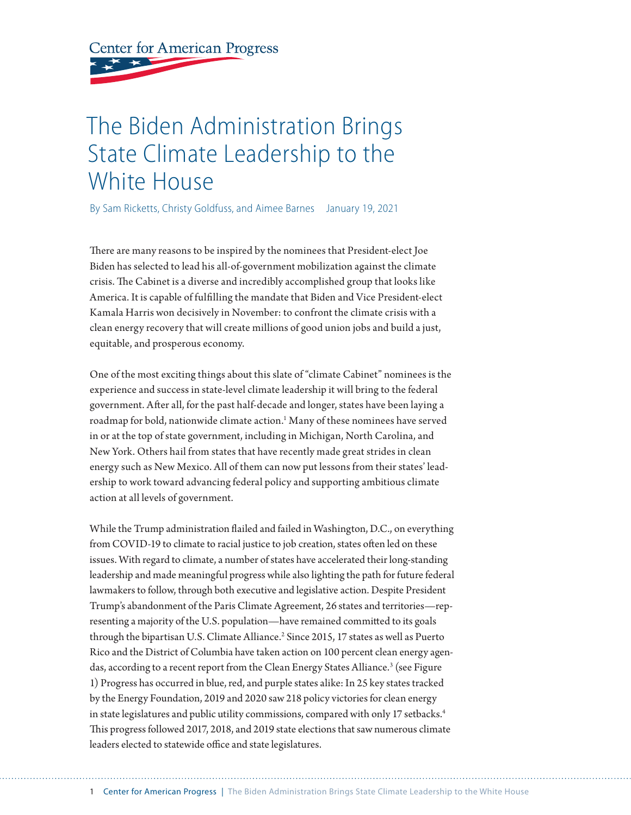# **Center for American Progress**

# The Biden Administration Brings State Climate Leadership to the White House

By Sam Ricketts, Christy Goldfuss, and Aimee Barnes January 19, 2021

There are many reasons to be inspired by the nominees that President-elect Joe Biden has selected to lead his all-of-government mobilization against the climate crisis. The Cabinet is a diverse and incredibly accomplished group that looks like America. It is capable of fulfilling the mandate that Biden and Vice President-elect Kamala Harris won decisively in November: to confront the climate crisis with a clean energy recovery that will create millions of good union jobs and build a just, equitable, and prosperous economy.

One of the most exciting things about this slate of "climate Cabinet" nominees is the experience and success in state-level climate leadership it will bring to the federal government. After all, for the past half-decade and longer, states have been laying a roadmap for bold, nationwide climate action.<sup>1</sup> Many of these nominees have served in or at the top of state government, including in Michigan, North Carolina, and New York. Others hail from states that have recently made great strides in clean energy such as New Mexico. All of them can now put lessons from their states' leadership to work toward advancing federal policy and supporting ambitious climate action at all levels of government.

While the Trump administration flailed and failed in Washington, D.C., on everything from COVID-19 to climate to racial justice to job creation, states often led on these issues. With regard to climate, a number of states have accelerated their long-standing leadership and made meaningful progress while also lighting the path for future federal lawmakers to follow, through both executive and legislative action. Despite President Trump's abandonment of the Paris Climate Agreement, 26 states and territories—representing a majority of the U.S. population—have remained committed to its goals through the bipartisan U.S. Climate Alliance.<sup>2</sup> Since 2015, 17 states as well as Puerto Rico and the District of Columbia have taken action on 100 percent clean energy agendas, according to a recent report from the Clean Energy States Alliance. $^3$  (see Figure 1) Progress has occurred in blue, red, and purple states alike: In 25 key states tracked by the Energy Foundation, 2019 and 2020 saw 218 policy victories for clean energy in state legislatures and public utility commissions, compared with only 17 setbacks.<sup>4</sup> This progress followed 2017, 2018, and 2019 state elections that saw numerous climate leaders elected to statewide office and state legislatures.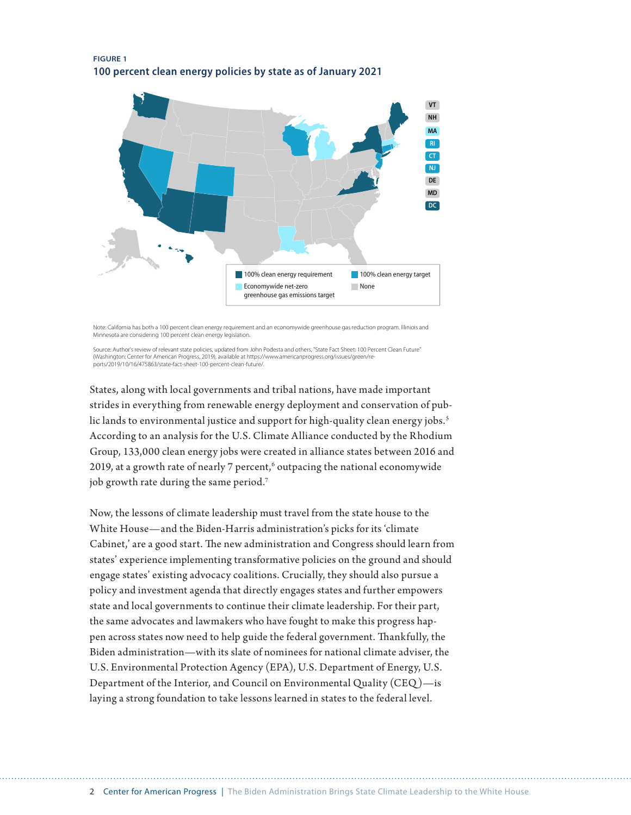#### **FIGURE 1 100 percent clean energy policies by state as of January 2021**



Note: California has both a 100 percent clean energy requirement and an economywide greenhouse gas reduction program. Illiniois and Minnesota are considering 100 percent clean energy legislation.

Source: Author's review of relevant state policies, updated from John Podesta and others, "State Fact Sheet: 100 Percent Clean Future"<br>(Washington: Center for American Progress, 2019), available at https://www.americanprog ports/2019/10/16/475863/state-fact-sheet-100-percent-clean-future/.

States, along with local governments and tribal nations, have made important strides in everything from renewable energy deployment and conservation of public lands to environmental justice and support for high-quality clean energy jobs.<sup>5</sup> According to an analysis for the U.S. Climate Alliance conducted by the Rhodium Group, 133,000 clean energy jobs were created in alliance states between 2016 and 2019, at a growth rate of nearly 7 percent,<sup>6</sup> outpacing the national economywide job growth rate during the same period.<sup>7</sup>

Now, the lessons of climate leadership must travel from the state house to the White House—and the Biden-Harris administration's picks for its 'climate Cabinet,' are a good start. The new administration and Congress should learn from states' experience implementing transformative policies on the ground and should engage states' existing advocacy coalitions. Crucially, they should also pursue a policy and investment agenda that directly engages states and further empowers state and local governments to continue their climate leadership. For their part, the same advocates and lawmakers who have fought to make this progress happen across states now need to help guide the federal government. Thankfully, the Biden administration—with its slate of nominees for national climate adviser, the U.S. Environmental Protection Agency (EPA), U.S. Department of Energy, U.S. Department of the Interior, and Council on Environmental Quality (CEQ )—is laying a strong foundation to take lessons learned in states to the federal level.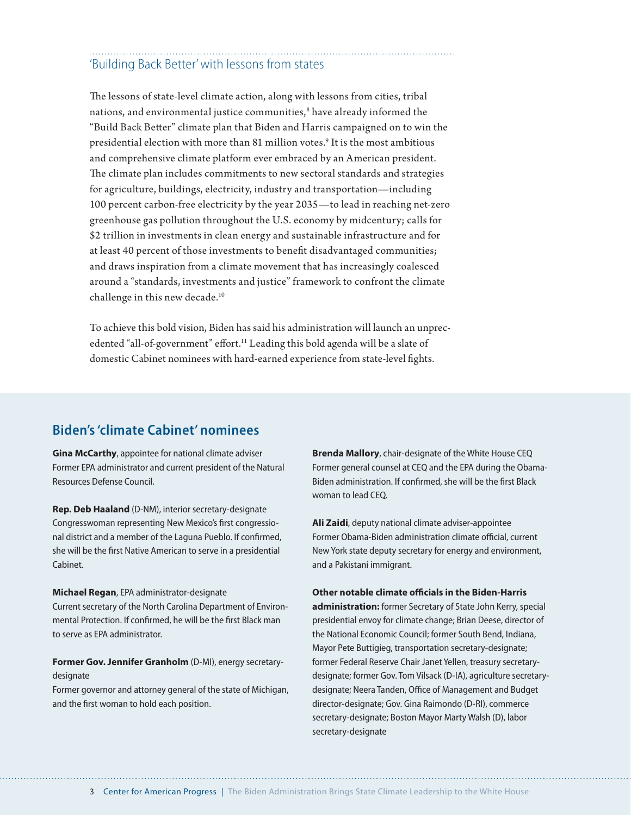# 'Building Back Better' with lessons from states

The lessons of state-level climate action, along with lessons from cities, tribal nations, and environmental justice communities, $^{\rm 8}$  have already informed the "Build Back Better" climate plan that Biden and Harris campaigned on to win the presidential election with more than 81 million votes.9 It is the most ambitious and comprehensive climate platform ever embraced by an American president. The climate plan includes commitments to new sectoral standards and strategies for agriculture, buildings, electricity, industry and transportation—including 100 percent carbon-free electricity by the year 2035—to lead in reaching net-zero greenhouse gas pollution throughout the U.S. economy by midcentury; calls for \$2 trillion in investments in clean energy and sustainable infrastructure and for at least 40 percent of those investments to benefit disadvantaged communities; and draws inspiration from a climate movement that has increasingly coalesced around a "standards, investments and justice" framework to confront the climate challenge in this new decade.10

To achieve this bold vision, Biden has said his administration will launch an unprecedented "all-of-government" effort.<sup>11</sup> Leading this bold agenda will be a slate of domestic Cabinet nominees with hard-earned experience from state-level fights.

## **Biden's 'climate Cabinet' nominees**

**Gina McCarthy**, appointee for national climate adviser Former EPA administrator and current president of the Natural Resources Defense Council.

**Rep. Deb Haaland** (D-NM), interior secretary-designate Congresswoman representing New Mexico's first congressional district and a member of the Laguna Pueblo. If confirmed, she will be the first Native American to serve in a presidential Cabinet.

#### **Michael Regan**, EPA administrator-designate

Current secretary of the North Carolina Department of Environmental Protection. If confirmed, he will be the first Black man to serve as EPA administrator.

**Former Gov. Jennifer Granholm** (D-MI), energy secretarydesignate

Former governor and attorney general of the state of Michigan, and the first woman to hold each position.

**Brenda Mallory**, chair-designate of the White House CEQ Former general counsel at CEQ and the EPA during the Obama-Biden administration. If confirmed, she will be the first Black woman to lead CEQ.

**Ali Zaidi**, deputy national climate adviser-appointee Former Obama-Biden administration climate official, current New York state deputy secretary for energy and environment, and a Pakistani immigrant.

#### **Other notable climate officials in the Biden-Harris**

**administration:** former Secretary of State John Kerry, special presidential envoy for climate change; Brian Deese, director of the National Economic Council; former South Bend, Indiana, Mayor Pete Buttigieg, transportation secretary-designate; former Federal Reserve Chair Janet Yellen, treasury secretarydesignate; former Gov. Tom Vilsack (D-IA), agriculture secretarydesignate; Neera Tanden, Office of Management and Budget director-designate; Gov. Gina Raimondo (D-RI), commerce secretary-designate; Boston Mayor Marty Walsh (D), labor secretary-designate

3 Center for American Progress | The Biden Administration Brings State Climate Leadership to the White House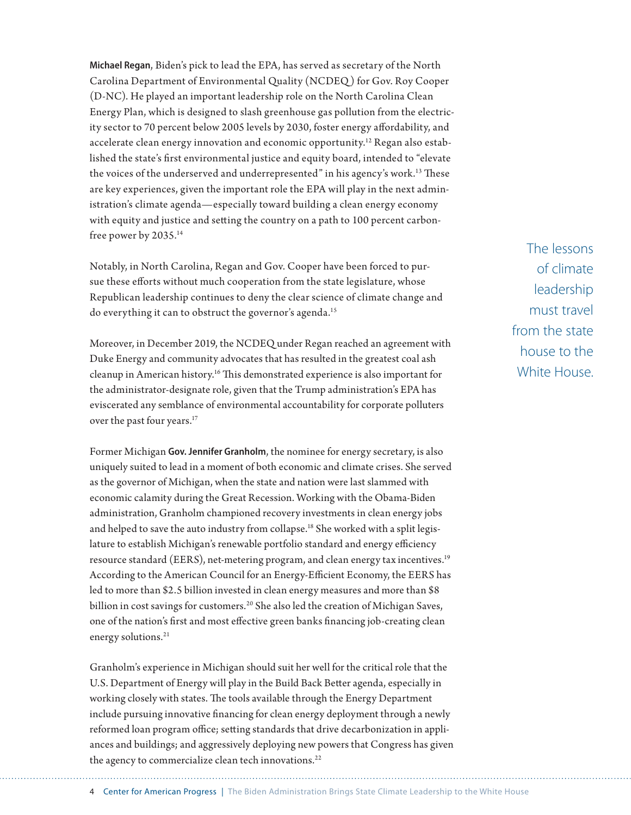**Michael Regan**, Biden's pick to lead the EPA, has served as secretary of the North Carolina Department of Environmental Quality (NCDEQ ) for Gov. Roy Cooper (D-NC). He played an important leadership role on the North Carolina Clean Energy Plan, which is designed to slash greenhouse gas pollution from the electricity sector to 70 percent below 2005 levels by 2030, foster energy affordability, and accelerate clean energy innovation and economic opportunity.<sup>12</sup> Regan also established the state's first environmental justice and equity board, intended to "elevate the voices of the underserved and underrepresented" in his agency's work.<sup>13</sup> These are key experiences, given the important role the EPA will play in the next administration's climate agenda—especially toward building a clean energy economy with equity and justice and setting the country on a path to 100 percent carbonfree power by 2035.<sup>14</sup>

Notably, in North Carolina, Regan and Gov. Cooper have been forced to pursue these efforts without much cooperation from the state legislature, whose Republican leadership continues to deny the clear science of climate change and do everything it can to obstruct the governor's agenda.<sup>15</sup>

Moreover, in December 2019, the NCDEQ under Regan reached an agreement with Duke Energy and community advocates that has resulted in the greatest coal ash cleanup in American history.16 This demonstrated experience is also important for the administrator-designate role, given that the Trump administration's EPA has eviscerated any semblance of environmental accountability for corporate polluters over the past four years.<sup>17</sup>

Former Michigan **Gov. Jennifer Granholm**, the nominee for energy secretary, is also uniquely suited to lead in a moment of both economic and climate crises. She served as the governor of Michigan, when the state and nation were last slammed with economic calamity during the Great Recession. Working with the Obama-Biden administration, Granholm championed recovery investments in clean energy jobs and helped to save the auto industry from collapse.<sup>18</sup> She worked with a split legislature to establish Michigan's renewable portfolio standard and energy efficiency resource standard (EERS), net-metering program, and clean energy tax incentives.19 According to the American Council for an Energy-Efficient Economy, the EERS has led to more than \$2.5 billion invested in clean energy measures and more than \$8 billion in cost savings for customers.<sup>20</sup> She also led the creation of Michigan Saves, one of the nation's first and most effective green banks financing job-creating clean energy solutions.<sup>21</sup>

Granholm's experience in Michigan should suit her well for the critical role that the U.S. Department of Energy will play in the Build Back Better agenda, especially in working closely with states. The tools available through the Energy Department include pursuing innovative financing for clean energy deployment through a newly reformed loan program office; setting standards that drive decarbonization in appliances and buildings; and aggressively deploying new powers that Congress has given the agency to commercialize clean tech innovations.<sup>22</sup>

The lessons of climate leadership must travel from the state house to the White House.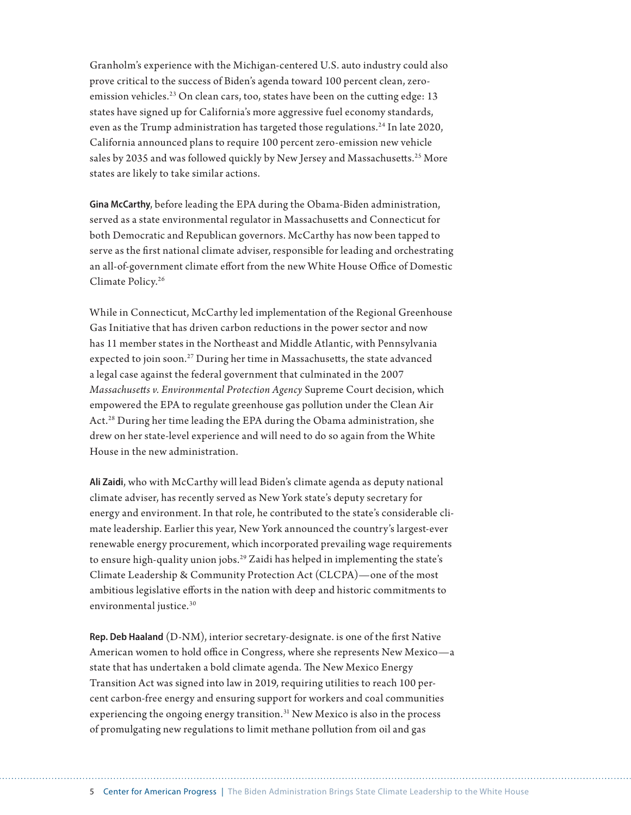Granholm's experience with the Michigan-centered U.S. auto industry could also prove critical to the success of Biden's agenda toward 100 percent clean, zeroemission vehicles.<sup>23</sup> On clean cars, too, states have been on the cutting edge: 13 states have signed up for California's more aggressive fuel economy standards, even as the Trump administration has targeted those regulations.<sup>24</sup> In late 2020, California announced plans to require 100 percent zero-emission new vehicle sales by 2035 and was followed quickly by New Jersey and Massachusetts.<sup>25</sup> More states are likely to take similar actions.

**Gina McCarthy**, before leading the EPA during the Obama-Biden administration, served as a state environmental regulator in Massachusetts and Connecticut for both Democratic and Republican governors. McCarthy has now been tapped to serve as the first national climate adviser, responsible for leading and orchestrating an all-of-government climate effort from the new White House Office of Domestic Climate Policy.26

While in Connecticut, McCarthy led implementation of the Regional Greenhouse Gas Initiative that has driven carbon reductions in the power sector and now has 11 member states in the Northeast and Middle Atlantic, with Pennsylvania expected to join soon.<sup>27</sup> During her time in Massachusetts, the state advanced a legal case against the federal government that culminated in the 2007 *Massachusetts v. Environmental Protection Agency* Supreme Court decision, which empowered the EPA to regulate greenhouse gas pollution under the Clean Air Act.28 During her time leading the EPA during the Obama administration, she drew on her state-level experience and will need to do so again from the White House in the new administration.

**Ali Zaidi**, who with McCarthy will lead Biden's climate agenda as deputy national climate adviser, has recently served as New York state's deputy secretary for energy and environment. In that role, he contributed to the state's considerable climate leadership. Earlier this year, New York announced the country's largest-ever renewable energy procurement, which incorporated prevailing wage requirements to ensure high-quality union jobs.<sup>29</sup> Zaidi has helped in implementing the state's Climate Leadership & Community Protection Act (CLCPA)—one of the most ambitious legislative efforts in the nation with deep and historic commitments to environmental justice.<sup>30</sup>

**Rep. Deb Haaland** (D-NM), interior secretary-designate. is one of the first Native American women to hold office in Congress, where she represents New Mexico—a state that has undertaken a bold climate agenda. The New Mexico Energy Transition Act was signed into law in 2019, requiring utilities to reach 100 percent carbon-free energy and ensuring support for workers and coal communities experiencing the ongoing energy transition. $31$  New Mexico is also in the process of promulgating new regulations to limit methane pollution from oil and gas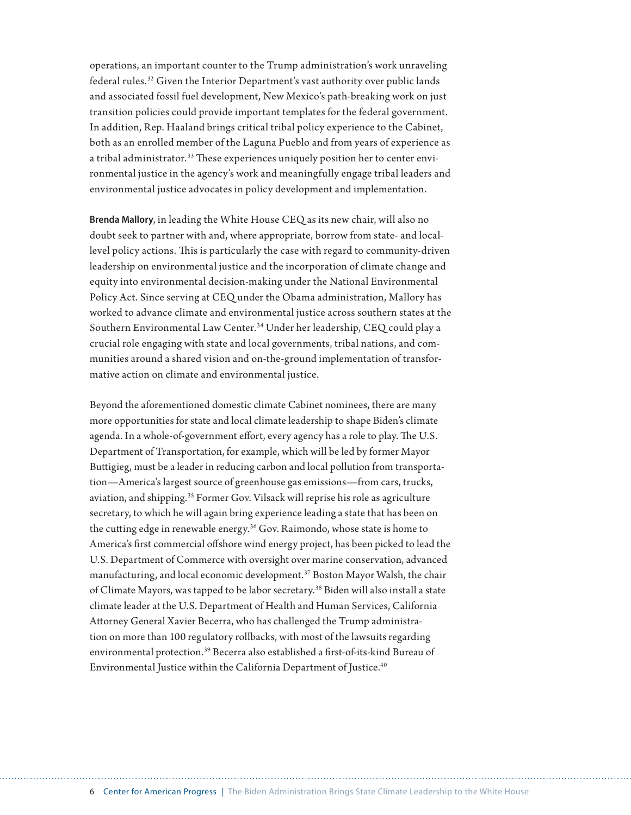operations, an important counter to the Trump administration's work unraveling federal rules.32 Given the Interior Department's vast authority over public lands and associated fossil fuel development, New Mexico's path-breaking work on just transition policies could provide important templates for the federal government. In addition, Rep. Haaland brings critical tribal policy experience to the Cabinet, both as an enrolled member of the Laguna Pueblo and from years of experience as a tribal administrator.<sup>33</sup> These experiences uniquely position her to center environmental justice in the agency's work and meaningfully engage tribal leaders and environmental justice advocates in policy development and implementation.

**Brenda Mallory**, in leading the White House CEQ as its new chair, will also no doubt seek to partner with and, where appropriate, borrow from state- and locallevel policy actions. This is particularly the case with regard to community-driven leadership on environmental justice and the incorporation of climate change and equity into environmental decision-making under the National Environmental Policy Act. Since serving at CEQ under the Obama administration, Mallory has worked to advance climate and environmental justice across southern states at the Southern Environmental Law Center.<sup>34</sup> Under her leadership, CEQ could play a crucial role engaging with state and local governments, tribal nations, and communities around a shared vision and on-the-ground implementation of transformative action on climate and environmental justice.

Beyond the aforementioned domestic climate Cabinet nominees, there are many more opportunities for state and local climate leadership to shape Biden's climate agenda. In a whole-of-government effort, every agency has a role to play. The U.S. Department of Transportation, for example, which will be led by former Mayor Buttigieg, must be a leader in reducing carbon and local pollution from transportation—America's largest source of greenhouse gas emissions—from cars, trucks, aviation, and shipping.35 Former Gov. Vilsack will reprise his role as agriculture secretary, to which he will again bring experience leading a state that has been on the cutting edge in renewable energy.36 Gov. Raimondo, whose state is home to America's first commercial offshore wind energy project, has been picked to lead the U.S. Department of Commerce with oversight over marine conservation, advanced manufacturing, and local economic development.37 Boston Mayor Walsh, the chair of Climate Mayors, was tapped to be labor secretary.38 Biden will also install a state climate leader at the U.S. Department of Health and Human Services, California Attorney General Xavier Becerra, who has challenged the Trump administration on more than 100 regulatory rollbacks, with most of the lawsuits regarding environmental protection.39 Becerra also established a first-of-its-kind Bureau of Environmental Justice within the California Department of Justice.<sup>40</sup>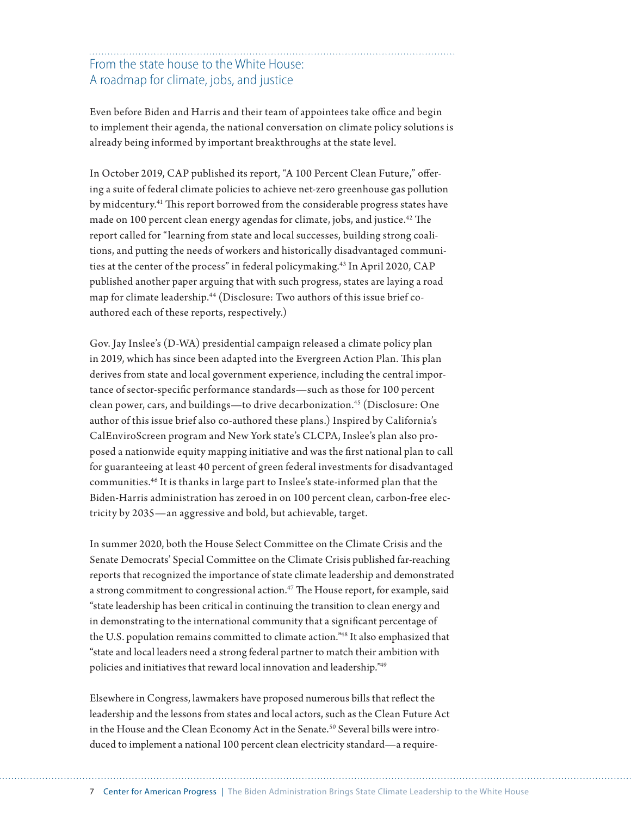# From the state house to the White House: A roadmap for climate, jobs, and justice

Even before Biden and Harris and their team of appointees take office and begin to implement their agenda, the national conversation on climate policy solutions is already being informed by important breakthroughs at the state level.

In October 2019, CAP published its report, "A 100 Percent Clean Future," offering a suite of federal climate policies to achieve net-zero greenhouse gas pollution by midcentury.41 This report borrowed from the considerable progress states have made on 100 percent clean energy agendas for climate, jobs, and justice.<sup>42</sup> The report called for "learning from state and local successes, building strong coalitions, and putting the needs of workers and historically disadvantaged communities at the center of the process" in federal policymaking.43 In April 2020, CAP published another paper arguing that with such progress, states are laying a road map for climate leadership.<sup>44</sup> (Disclosure: Two authors of this issue brief coauthored each of these reports, respectively.)

Gov. Jay Inslee's (D-WA) presidential campaign released a climate policy plan in 2019, which has since been adapted into the Evergreen Action Plan. This plan derives from state and local government experience, including the central importance of sector-specific performance standards—such as those for 100 percent clean power, cars, and buildings—to drive decarbonization.45 (Disclosure: One author of this issue brief also co-authored these plans.) Inspired by California's CalEnviroScreen program and New York state's CLCPA, Inslee's plan also proposed a nationwide equity mapping initiative and was the first national plan to call for guaranteeing at least 40 percent of green federal investments for disadvantaged communities.46 It is thanks in large part to Inslee's state-informed plan that the Biden-Harris administration has zeroed in on 100 percent clean, carbon-free electricity by 2035—an aggressive and bold, but achievable, target.

In summer 2020, both the House Select Committee on the Climate Crisis and the Senate Democrats' Special Committee on the Climate Crisis published far-reaching reports that recognized the importance of state climate leadership and demonstrated a strong commitment to congressional action.<sup>47</sup> The House report, for example, said "state leadership has been critical in continuing the transition to clean energy and in demonstrating to the international community that a significant percentage of the U.S. population remains committed to climate action."48 It also emphasized that "state and local leaders need a strong federal partner to match their ambition with policies and initiatives that reward local innovation and leadership."49

Elsewhere in Congress, lawmakers have proposed numerous bills that reflect the leadership and the lessons from states and local actors, such as the Clean Future Ac[t](https://energycommerce.house.gov/newsroom/press-releases/ec-leaders-release-draft-clean-future-act-legislative-text-to-achieve-a-100)  in the House and the Clean Economy Act in the Senate.<sup>50</sup> Several bills were introduced to implement a national 100 percent clean electricity standard—a require-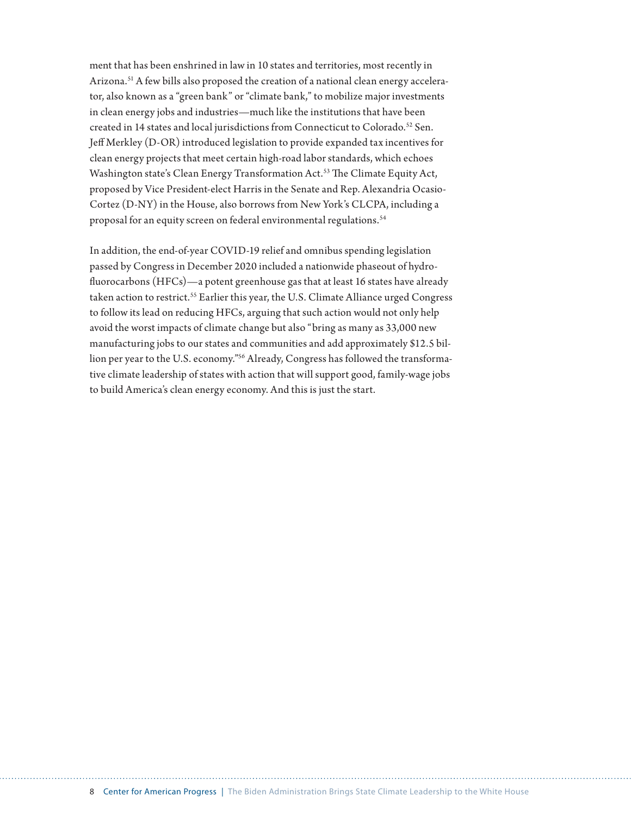ment that has been enshrined in law in 10 states and territories, most recently in Arizona.<sup>51</sup> A few bills also proposed the creation of a national clean energy accelerator, also known as a "green bank" or "climate bank," to mobilize major investments in clean energy jobs and industries—much like the institutions that have been created in 14 states and local jurisdictions from Connecticut to Colorado.<sup>52</sup> Sen. Jeff Merkley (D-OR) introduced legislation to provide expanded tax incentives for clean energy projects that meet certain high-road labor standards, which echoes Washington state's Clean Energy Transformation Act.53 The Climate Equity Act, proposed by Vice President-elect Harris in the Senate and Rep. Alexandria Ocasio-Cortez (D-NY) in the House, also borrows from New York's CLCPA, including a proposal for an equity screen on federal environmental regulations.<sup>54</sup>

In addition, the end-of-year COVID-19 relief and omnibus spending legislation passed by Congress in December 2020 included a nationwide phaseout of hydrofluorocarbons (HFCs)—a potent greenhouse gas that at least 16 states have already taken action to restrict.<sup>55</sup> Earlier this year, the U.S. Climate Alliance urged Congress to follow its lead on reducing HFCs, arguing that such action would not only help avoid the worst impacts of climate change but also "bring as many as 33,000 new manufacturing jobs to our states and communities and add approximately \$12.5 billion per year to the U.S. economy."<sup>56</sup> Already, Congress has followed the transformative climate leadership of states with action that will support good, family-wage jobs to build America's clean energy economy. And this is just the start.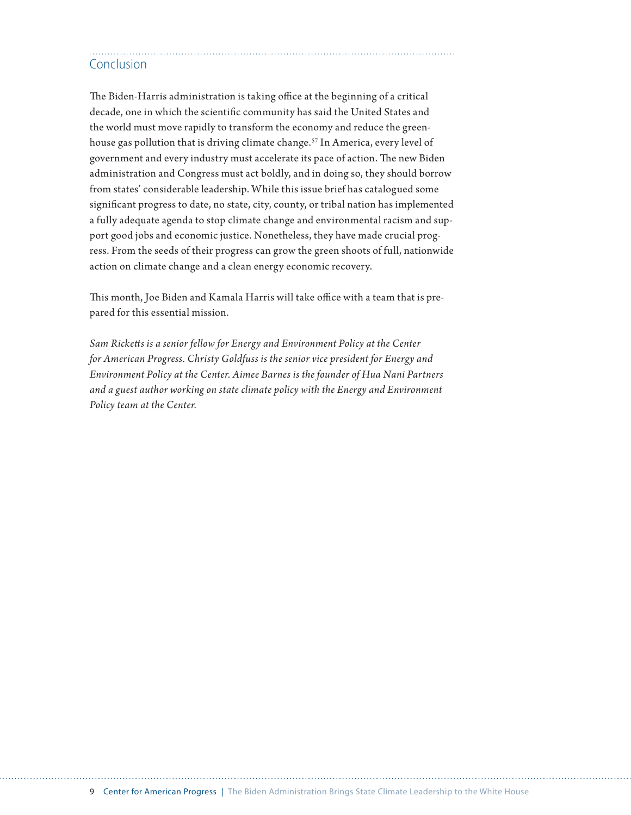# Conclusion

The Biden-Harris administration is taking office at the beginning of a critical decade, one in which the scientific community has said the United States and the world must move rapidly to transform the economy and reduce the greenhouse gas pollution that is driving climate change.<sup>57</sup> In America, every level of government and every industry must accelerate its pace of action. The new Biden administration and Congress must act boldly, and in doing so, they should borrow from states' considerable leadership. While this issue brief has catalogued some significant progress to date, no state, city, county, or tribal nation has implemented a fully adequate agenda to stop climate change and environmental racism and support good jobs and economic justice. Nonetheless, they have made crucial progress. From the seeds of their progress can grow the green shoots of full, nationwide action on climate change and a clean energy economic recovery.

This month, Joe Biden and Kamala Harris will take office with a team that is prepared for this essential mission.

*Sam Ricketts is a senior fellow for Energy and Environment Policy at the Center for American Progress. Christy Goldfuss is the senior vice president for Energy and Environment Policy at the Center. Aimee Barnes is the founder of Hua Nani Partners and a guest author working on state climate policy with the Energy and Environment Policy team at the Center.*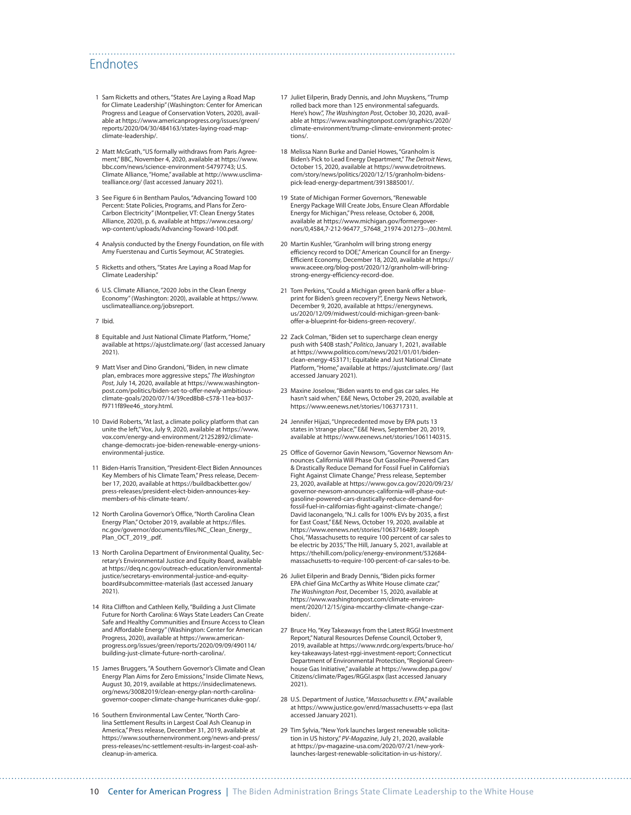## Endnotes

- 1 Sam Ricketts and others, "States Are Laying a Road Map for Climate Leadership" (Washington: Center for American Progress and League of Conservation Voters, 2020), available at [https://www.americanprogress.org/issues/green/](https://www.americanprogress.org/issues/green/reports/2020/04/30/484163/states-laying-road-map-climate-leadership/) [reports/2020/04/30/484163/states-laying-road-map](https://www.americanprogress.org/issues/green/reports/2020/04/30/484163/states-laying-road-map-climate-leadership/)[climate-leadership/.](https://www.americanprogress.org/issues/green/reports/2020/04/30/484163/states-laying-road-map-climate-leadership/)
- 2 Matt McGrath, "US formally withdraws from Paris Agreement," BBC, November 4, 2020, available at [https://www.](https://www.bbc.com/news/science-environment-54797743) [bbc.com/news/science-environment-54797743](https://www.bbc.com/news/science-environment-54797743); U.S. Climate Alliance, "Home," available at [http://www.usclima](http://www.usclimatealliance.org/)[tealliance.org/](http://www.usclimatealliance.org/) (last accessed January 2021).
- 3 See Figure 6 in Bentham Paulos, "Advancing Toward 100 Percent: State Policies, Programs, and Plans for Zero-Carbon Electricity" (Montpelier, VT: Clean Energy States Alliance, 2020), p. 6, available at [https://www.cesa.org/](https://www.cesa.org/wp-content/uploads/Advancing-Toward-100.pdf) [wp-content/uploads/Advancing-Toward-100.pdf](https://www.cesa.org/wp-content/uploads/Advancing-Toward-100.pdf).
- 4 Analysis conducted by the Energy Foundation, on file with Amy Fuerstenau and Curtis Seymour, AC Strategies.
- 5 Ricketts and others, "States Are Laying a Road Map for Climate Leadership."
- 6 U.S. Climate Alliance, "2020 Jobs in the Clean Energy Economy" (Washington: 2020), available at [https://www.](https://www.usclimatealliance.org/jobsreport) [usclimatealliance.org/jobsreport.](https://www.usclimatealliance.org/jobsreport)
- 7 Ibid.
- 8 Equitable and Just National Climate Platform, "Home," available at<https://ajustclimate.org/>(last accessed January 2021).
- 9 Matt Viser and Dino Grandoni, "Biden, in new climate plan, embraces more aggressive steps," *The Washington Post*, July 14, 2020, available at [https://www.washington](https://www.washingtonpost.com/politics/biden-set-to-offer-newly-ambitious-climate-goals/2020/07/14/39ced8b8-c578-11ea-b037-f9711f89ee46_story.html)[post.com/politics/biden-set-to-offer-newly-ambitious](https://www.washingtonpost.com/politics/biden-set-to-offer-newly-ambitious-climate-goals/2020/07/14/39ced8b8-c578-11ea-b037-f9711f89ee46_story.html)[climate-goals/2020/07/14/39ced8b8-c578-11ea-b037](https://www.washingtonpost.com/politics/biden-set-to-offer-newly-ambitious-climate-goals/2020/07/14/39ced8b8-c578-11ea-b037-f9711f89ee46_story.html) [f9711f89ee46\\_story.html.](https://www.washingtonpost.com/politics/biden-set-to-offer-newly-ambitious-climate-goals/2020/07/14/39ced8b8-c578-11ea-b037-f9711f89ee46_story.html)
- 10 David Roberts, "At last, a climate policy platform that can unite the left," Vox, July 9, 2020, available at [https://www.](https://www.vox.com/energy-and-environment/21252892/climate-change-democrats-joe-biden-renewable-energy-unions-environmental-justice) [vox.com/energy-and-environment/21252892/climate](https://www.vox.com/energy-and-environment/21252892/climate-change-democrats-joe-biden-renewable-energy-unions-environmental-justice)[change-democrats-joe-biden-renewable-energy-unions](https://www.vox.com/energy-and-environment/21252892/climate-change-democrats-joe-biden-renewable-energy-unions-environmental-justice)[environmental-justice](https://www.vox.com/energy-and-environment/21252892/climate-change-democrats-joe-biden-renewable-energy-unions-environmental-justice).
- 11 Biden-Harris Transition, "President-Elect Biden Announces Key Members of his Climate Team," Press release, December 17, 2020, available at [https://buildbackbetter.gov/](https://buildbackbetter.gov/press-releases/president-elect-biden-announces-key-members-of-his-climate-team/) [press-releases/president-elect-biden-announces-key](https://buildbackbetter.gov/press-releases/president-elect-biden-announces-key-members-of-his-climate-team/)[members-of-his-climate-team/](https://buildbackbetter.gov/press-releases/president-elect-biden-announces-key-members-of-his-climate-team/).
- 12 North Carolina Governor's Office, "North Carolina Clean Energy Plan," October 2019, available at [https://files.](https://files.nc.gov/governor/documents/files/NC_Clean_Energy_Plan_OCT_2019_.pdf) [nc.gov/governor/documents/files/NC\\_Clean\\_Energy\\_](https://files.nc.gov/governor/documents/files/NC_Clean_Energy_Plan_OCT_2019_.pdf) [Plan\\_OCT\\_2019\\_.pdf.](https://files.nc.gov/governor/documents/files/NC_Clean_Energy_Plan_OCT_2019_.pdf)
- 13 North Carolina Department of Environmental Quality, Secretary's Environmental Justice and Equity Board, available at https://deq.nc.gov/outreach-education/environmentaljustice/secretarys-environmental-justice-and-equityboard#subcommittee-materials (last accessed January 2021).
- 14 Rita Cliffton and Cathleen Kelly, "Building a Just Climate Future for North Carolina: 6 Ways State Leaders Can Create Safe and Healthy Communities and Ensure Access to Clean and Affordable Energy" (Washington: Center for American Progress, 2020), available at [https://www.american](https://www.americanprogress.org/issues/green/reports/2020/09/09/490114/building-just-climate-future-north-carolina/)[progress.org/issues/green/reports/2020/09/09/490114/](https://www.americanprogress.org/issues/green/reports/2020/09/09/490114/building-just-climate-future-north-carolina/) [building-just-climate-future-north-carolina/.](https://www.americanprogress.org/issues/green/reports/2020/09/09/490114/building-just-climate-future-north-carolina/)
- 15 James Bruggers, "A Southern Governor's Climate and Clean Energy Plan Aims for Zero Emissions," Inside Climate News, August 30, 2019, available at [https://insideclimatenews.](https://insideclimatenews.org/news/30082019/clean-energy-plan-north-carolina-governor-cooper-climate-change-hurricanes-duke-gop/) [org/news/30082019/clean-energy-plan-north-carolina](https://insideclimatenews.org/news/30082019/clean-energy-plan-north-carolina-governor-cooper-climate-change-hurricanes-duke-gop/)[governor-cooper-climate-change-hurricanes-duke-gop/](https://insideclimatenews.org/news/30082019/clean-energy-plan-north-carolina-governor-cooper-climate-change-hurricanes-duke-gop/).
- 16 Southern Environmental Law Center, "North Carolina Settlement Results in Largest Coal Ash Cleanup in America," Press release, December 31, 2019, available at [https://www.southernenvironment.org/news-and-press/](https://www.southernenvironment.org/news-and-press/press-releases/nc-settlement-results-in-largest-coal-ash-cleanup-in-america) [press-releases/nc-settlement-results-in-largest-coal-ash](https://www.southernenvironment.org/news-and-press/press-releases/nc-settlement-results-in-largest-coal-ash-cleanup-in-america)[cleanup-in-america](https://www.southernenvironment.org/news-and-press/press-releases/nc-settlement-results-in-largest-coal-ash-cleanup-in-america).

17 Juliet Eilperin, Brady Dennis, and John Muyskens, "Trump rolled back more than 125 environmental safeguards. Here's how.", *The Washington Post*, October 30, 2020, avail-able at [https://www.washingtonpost.com/graphics/2020/](https://www.washingtonpost.com/graphics/2020/climate-environment/trump-climate-environment-protections/) [climate-environment/trump-climate-environment-protec](https://www.washingtonpost.com/graphics/2020/climate-environment/trump-climate-environment-protections/)[tions/.](https://www.washingtonpost.com/graphics/2020/climate-environment/trump-climate-environment-protections/)

- 18 Melissa Nann Burke and Daniel Howes, "Granholm is Biden's Pick to Lead Energy Department," *The Detroit News*, October 15, 2020, available at [https://www.detroitnews.](https://www.detroitnews.com/story/news/politics/2020/12/15/granholm-bidens-pick-lead-energy-department/3913885001/) [com/story/news/politics/2020/12/15/granholm-bidens](https://www.detroitnews.com/story/news/politics/2020/12/15/granholm-bidens-pick-lead-energy-department/3913885001/)[pick-lead-energy-department/3913885001/](https://www.detroitnews.com/story/news/politics/2020/12/15/granholm-bidens-pick-lead-energy-department/3913885001/).
- 19 State of Michigan Former Governors, "Renewable Energy Package Will Create Jobs, Ensure Clean Affordable Energy for Michigan," Press release, October 6, 2008, available at [https://www.michigan.gov/formergover](https://www.michigan.gov/formergovernors/0,4584,7-212-96477_57648_21974-201273--,00.html)[nors/0,4584,7-212-96477\\_57648\\_21974-201273--,00.html](https://www.michigan.gov/formergovernors/0,4584,7-212-96477_57648_21974-201273--,00.html).
- 20 Martin Kushler, "Granholm will bring strong energy efficiency record to DOE," American Council for an Energy-Efficient Economy, December 18, 2020, available at [https://](https://www.aceee.org/blog-post/2020/12/granholm-will-bring-strong-energy-efficiency-record-doe) [www.aceee.org/blog-post/2020/12/granholm-will-bring](https://www.aceee.org/blog-post/2020/12/granholm-will-bring-strong-energy-efficiency-record-doe)[strong-energy-efficiency-record-doe.](https://www.aceee.org/blog-post/2020/12/granholm-will-bring-strong-energy-efficiency-record-doe)
- 21 Tom Perkins, "Could a Michigan green bank offer a blueprint for Biden's green recovery?", Energy News Network, December 9, 2020, available at [https://energynews.](https://energynews.us/2020/12/09/midwest/could-michigan-green-bank-offer-a-blueprint-for-bidens-green-recovery/) [us/2020/12/09/midwest/could-michigan-green-bank](https://energynews.us/2020/12/09/midwest/could-michigan-green-bank-offer-a-blueprint-for-bidens-green-recovery/)[offer-a-blueprint-for-bidens-green-recovery/](https://energynews.us/2020/12/09/midwest/could-michigan-green-bank-offer-a-blueprint-for-bidens-green-recovery/).
- 22 Zack Colman, "Biden set to supercharge clean energy push with \$40B stash," *Politico*,January 1, 2021, available at [https://www.politico.com/news/2021/01/01/biden](https://www.politico.com/news/2021/01/01/biden-clean-energy-453171)[clean-energy-453171](https://www.politico.com/news/2021/01/01/biden-clean-energy-453171); Equitable and Just National Climate Platform, "Home," available at <https://ajustclimate.org/> (last accessed January 2021).
- 23 Maxine Joselow, "Biden wants to end gas car sales. He hasn't said when," E&E News, October 29, 2020, available at <https://www.eenews.net/stories/1063717311>.
- 24 Jennifer Hijazi, "Unprecedented move by EPA puts 13 states in 'strange place,'" E&E News, September 20, 2019, available at<https://www.eenews.net/stories/1061140315>.
- 25 Office of Governor Gavin Newsom, "Governor Newsom Announces California Will Phase Out Gasoline-Powered Cars & Drastically Reduce Demand for Fossil Fuel in California's Fight Against Climate Change," Press release, September 23, 2020, available at [https://www.gov.ca.gov/2020/09/23/](https://www.gov.ca.gov/2020/09/23/governor-newsom-announces-california-will-phase-out-gasoline-powered-cars-drastically-reduce-demand-for-fossil-fuel-in-californias-fight-against-climate-change/) [governor-newsom-announces-california-will-phase-out](https://www.gov.ca.gov/2020/09/23/governor-newsom-announces-california-will-phase-out-gasoline-powered-cars-drastically-reduce-demand-for-fossil-fuel-in-californias-fight-against-climate-change/)[gasoline-powered-cars-drastically-reduce-demand-for](https://www.gov.ca.gov/2020/09/23/governor-newsom-announces-california-will-phase-out-gasoline-powered-cars-drastically-reduce-demand-for-fossil-fuel-in-californias-fight-against-climate-change/)[fossil-fuel-in-californias-fight-against-climate-change/;](https://www.gov.ca.gov/2020/09/23/governor-newsom-announces-california-will-phase-out-gasoline-powered-cars-drastically-reduce-demand-for-fossil-fuel-in-californias-fight-against-climate-change/) David Iaconangelo, "N.J. calls for 100% EVs by 2035, a first for East Coast," E&E News, October 19, 2020, available at <https://www.eenews.net/stories/1063716489>; Joseph Choi, "Massachusetts to require 100 percent of car sales to be electric by 2035," The Hill, January 5, 2021, available at [https://thehill.com/policy/energy-environment/532684](https://thehill.com/policy/energy-environment/532684-massachusetts-to-require-100-percent-of-car-sales-to-be) [massachusetts-to-require-100-percent-of-car-sales-to-be](https://thehill.com/policy/energy-environment/532684-massachusetts-to-require-100-percent-of-car-sales-to-be).
- 26 Juliet Eilperin and Brady Dennis, "Biden picks former EPA chief Gina McCarthy as White House climate czar," *The Washington Post*, December 15, 2020, available at [https://www.washingtonpost.com/climate-environ](https://www.washingtonpost.com/climate-environment/2020/12/15/gina-mccarthy-climate-change-czar-biden/)[ment/2020/12/15/gina-mccarthy-climate-change-czar](https://www.washingtonpost.com/climate-environment/2020/12/15/gina-mccarthy-climate-change-czar-biden/)[biden/](https://www.washingtonpost.com/climate-environment/2020/12/15/gina-mccarthy-climate-change-czar-biden/).
- 27 Bruce Ho, "Key Takeaways from the Latest RGGI Investment Report," Natural Resources Defense Council, October 9, 2019, available at [https://www.nrdc.org/experts/bruce-ho/](https://www.nrdc.org/experts/bruce-ho/key-takeaways-latest-rggi-investment-report) [key-takeaways-latest-rggi-investment-report](https://www.nrdc.org/experts/bruce-ho/key-takeaways-latest-rggi-investment-report); Connecticut Department of Environmental Protection, "Regional Greenhouse Gas Initiative," available at [https://www.dep.pa.gov/](https://www.dep.pa.gov/Citizens/climate/Pages/RGGI.aspx) [Citizens/climate/Pages/RGGI.aspx](https://www.dep.pa.gov/Citizens/climate/Pages/RGGI.aspx) (last accessed January 2021).
- 28 U.S. Department of Justice, "*Massachusetts v. EPA*," available at <https://www.justice.gov/enrd/massachusetts-v-epa> (last accessed January 2021).
- 29 Tim Sylvia, "New York launches largest renewable solicitation in US history," *PV-Magazine*, July 21, 2020, available at [https://pv-magazine-usa.com/2020/07/21/new-york](https://pv-magazine-usa.com/2020/07/21/new-york-launches-largest-renewable-solicitation-in-us-history/)[launches-largest-renewable-solicitation-in-us-history/](https://pv-magazine-usa.com/2020/07/21/new-york-launches-largest-renewable-solicitation-in-us-history/).